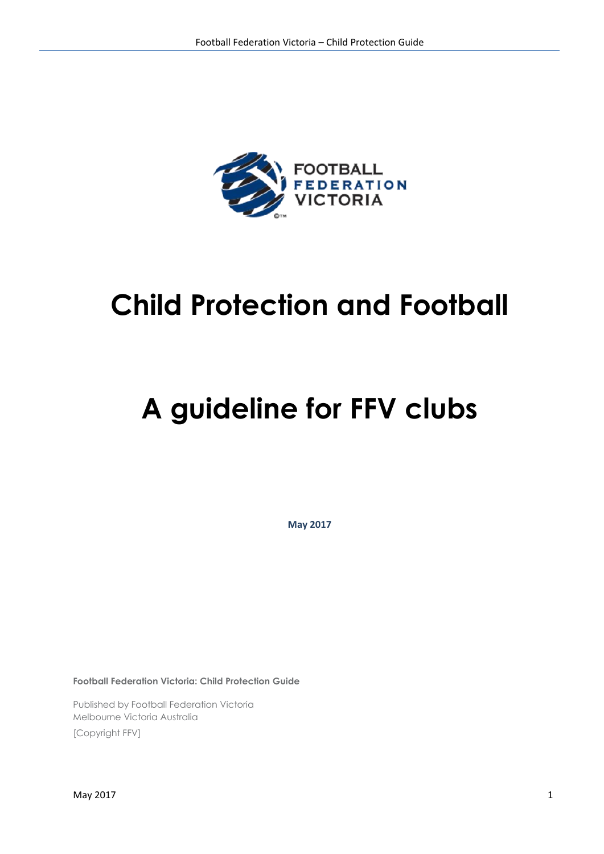

# **Child Protection and Football**

# **A guideline for FFV clubs**

**May 2017**

**Football Federation Victoria: Child Protection Guide**

Published by Football Federation Victoria Melbourne Victoria Australia [Copyright FFV]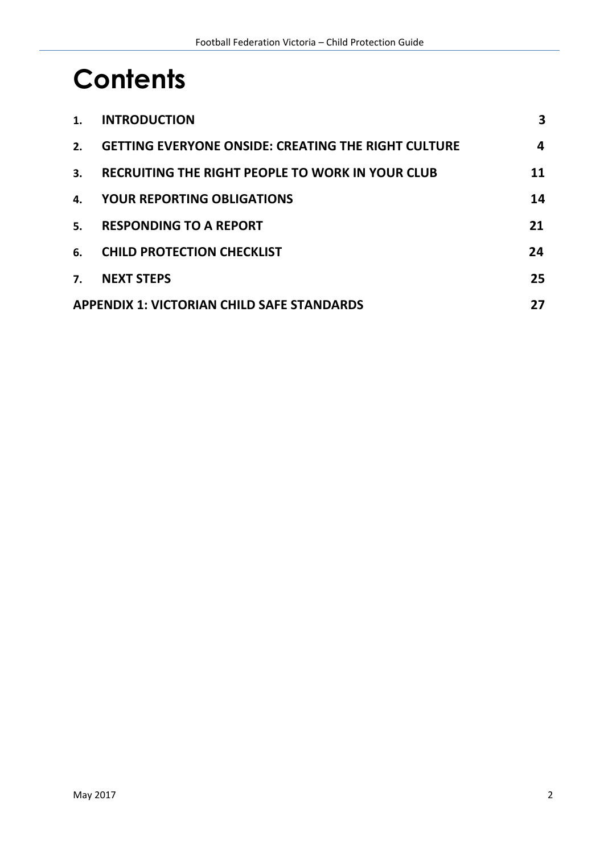# **Contents**

| 1.                                                | <b>INTRODUCTION</b>                                        | 3  |
|---------------------------------------------------|------------------------------------------------------------|----|
| 2.                                                | <b>GETTING EVERYONE ONSIDE: CREATING THE RIGHT CULTURE</b> | 4  |
| 3.                                                | RECRUITING THE RIGHT PEOPLE TO WORK IN YOUR CLUB           | 11 |
| 4.                                                | <b>YOUR REPORTING OBLIGATIONS</b>                          | 14 |
| 5.                                                | <b>RESPONDING TO A REPORT</b>                              | 21 |
| 6.                                                | <b>CHILD PROTECTION CHECKLIST</b>                          | 24 |
| 7.                                                | <b>NEXT STEPS</b>                                          | 25 |
| <b>APPENDIX 1: VICTORIAN CHILD SAFE STANDARDS</b> |                                                            |    |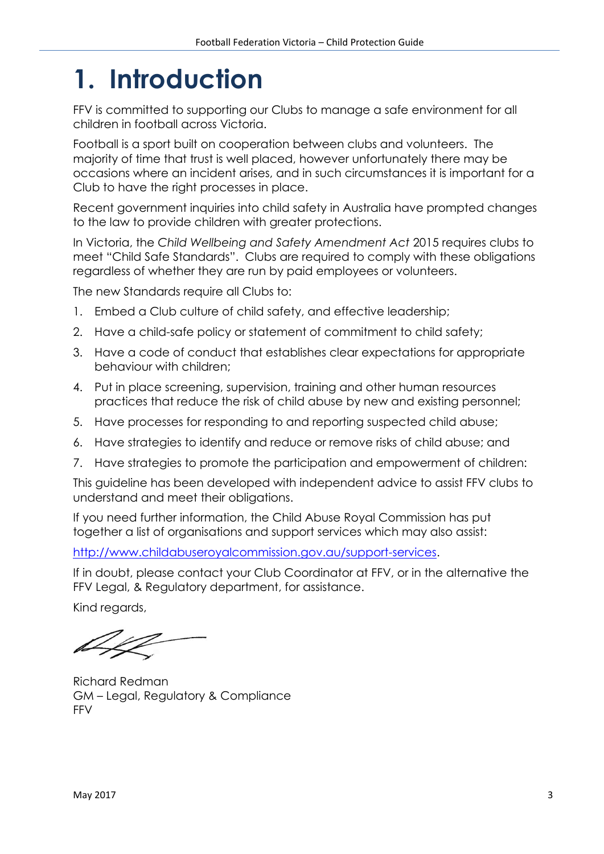# **1. Introduction**

FFV is committed to supporting our Clubs to manage a safe environment for all children in football across Victoria.

Football is a sport built on cooperation between clubs and volunteers. The majority of time that trust is well placed, however unfortunately there may be occasions where an incident arises, and in such circumstances it is important for a Club to have the right processes in place.

Recent government inquiries into child safety in Australia have prompted changes to the law to provide children with greater protections.

In Victoria, the *Child Wellbeing and Safety Amendment Act* 2015 requires clubs to meet "Child Safe Standards". Clubs are required to comply with these obligations regardless of whether they are run by paid employees or volunteers.

The new Standards require all Clubs to:

- 1. Embed a Club culture of child safety, and effective leadership;
- 2. Have a child-safe policy or statement of commitment to child safety;
- 3. Have a code of conduct that establishes clear expectations for appropriate behaviour with children;
- 4. Put in place screening, supervision, training and other human resources practices that reduce the risk of child abuse by new and existing personnel;
- 5. Have processes for responding to and reporting suspected child abuse;
- 6. Have strategies to identify and reduce or remove risks of child abuse; and
- 7. Have strategies to promote the participation and empowerment of children:

This guideline has been developed with independent advice to assist FFV clubs to understand and meet their obligations.

If you need further information, the Child Abuse Royal Commission has put together a list of organisations and support services which may also assist:

[http://www.childabuseroyalcommission.gov.au/support-services.](http://www.childabuseroyalcommission.gov.au/support-services)

If in doubt, please contact your Club Coordinator at FFV, or in the alternative the FFV Legal, & Regulatory department, for assistance.

Kind regards,

Richard Redman GM – Legal, Regulatory & Compliance FFV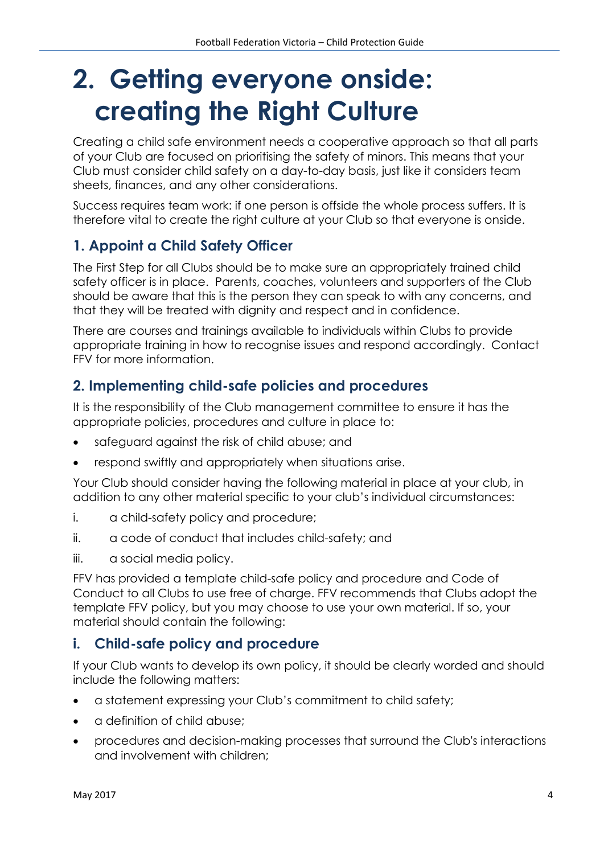# **2. Getting everyone onside: creating the Right Culture**

Creating a child safe environment needs a cooperative approach so that all parts of your Club are focused on prioritising the safety of minors. This means that your Club must consider child safety on a day-to-day basis, just like it considers team sheets, finances, and any other considerations.

Success requires team work: if one person is offside the whole process suffers. It is therefore vital to create the right culture at your Club so that everyone is onside.

# **1. Appoint a Child Safety Officer**

The First Step for all Clubs should be to make sure an appropriately trained child safety officer is in place. Parents, coaches, volunteers and supporters of the Club should be aware that this is the person they can speak to with any concerns, and that they will be treated with dignity and respect and in confidence.

There are courses and trainings available to individuals within Clubs to provide appropriate training in how to recognise issues and respond accordingly. Contact FFV for more information.

### **2. Implementing child-safe policies and procedures**

It is the responsibility of the Club management committee to ensure it has the appropriate policies, procedures and culture in place to:

- safeguard against the risk of child abuse; and
- respond swiftly and appropriately when situations arise.

Your Club should consider having the following material in place at your club, in addition to any other material specific to your club's individual circumstances:

- i. a child-safety policy and procedure;
- ii. a code of conduct that includes child-safety; and
- iii. a social media policy.

FFV has provided a template child-safe policy and procedure and Code of Conduct to all Clubs to use free of charge. FFV recommends that Clubs adopt the template FFV policy, but you may choose to use your own material. If so, your material should contain the following:

#### **i. Child-safe policy and procedure**

If your Club wants to develop its own policy, it should be clearly worded and should include the following matters:

- a statement expressing your Club's commitment to child safety;
- a definition of child abuse;
- procedures and decision-making processes that surround the Club's interactions and involvement with children;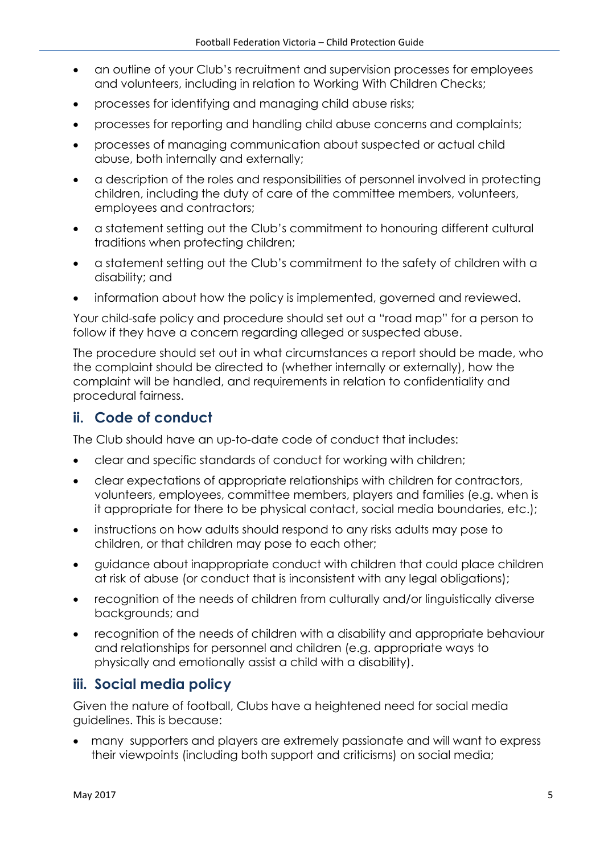- an outline of your Club's recruitment and supervision processes for employees and volunteers, including in relation to Working With Children Checks;
- processes for identifying and managing child abuse risks;
- processes for reporting and handling child abuse concerns and complaints;
- processes of managing communication about suspected or actual child abuse, both internally and externally;
- a description of the roles and responsibilities of personnel involved in protecting children, including the duty of care of the committee members, volunteers, employees and contractors;
- a statement setting out the Club's commitment to honouring different cultural traditions when protecting children;
- a statement setting out the Club's commitment to the safety of children with a disability; and
- information about how the policy is implemented, governed and reviewed.

Your child-safe policy and procedure should set out a "road map" for a person to follow if they have a concern regarding alleged or suspected abuse.

The procedure should set out in what circumstances a report should be made, who the complaint should be directed to (whether internally or externally), how the complaint will be handled, and requirements in relation to confidentiality and procedural fairness.

#### **ii. Code of conduct**

The Club should have an up-to-date code of conduct that includes:

- clear and specific standards of conduct for working with children;
- clear expectations of appropriate relationships with children for contractors, volunteers, employees, committee members, players and families (e.g. when is it appropriate for there to be physical contact, social media boundaries, etc.);
- instructions on how adults should respond to any risks adults may pose to children, or that children may pose to each other;
- guidance about inappropriate conduct with children that could place children at risk of abuse (or conduct that is inconsistent with any legal obligations);
- recognition of the needs of children from culturally and/or linguistically diverse backgrounds; and
- recognition of the needs of children with a disability and appropriate behaviour and relationships for personnel and children (e.g. appropriate ways to physically and emotionally assist a child with a disability).

#### **iii. Social media policy**

Given the nature of football, Clubs have a heightened need for social media guidelines. This is because:

• many supporters and players are extremely passionate and will want to express their viewpoints (including both support and criticisms) on social media;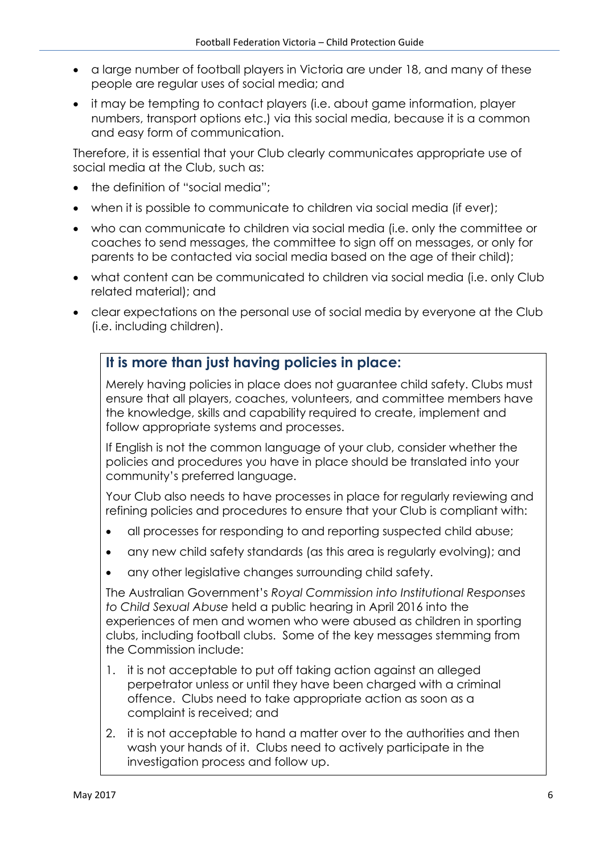- a large number of football players in Victoria are under 18, and many of these people are regular uses of social media; and
- it may be tempting to contact players (i.e. about game information, player numbers, transport options etc.) via this social media, because it is a common and easy form of communication.

Therefore, it is essential that your Club clearly communicates appropriate use of social media at the Club, such as:

- the definition of "social media":
- when it is possible to communicate to children via social media (if ever);
- who can communicate to children via social media (i.e. only the committee or coaches to send messages, the committee to sign off on messages, or only for parents to be contacted via social media based on the age of their child);
- what content can be communicated to children via social media (i.e. only Club related material); and
- clear expectations on the personal use of social media by everyone at the Club (i.e. including children).

#### **It is more than just having policies in place:**

Merely having policies in place does not guarantee child safety. Clubs must ensure that all players, coaches, volunteers, and committee members have the knowledge, skills and capability required to create, implement and follow appropriate systems and processes.

If English is not the common language of your club, consider whether the policies and procedures you have in place should be translated into your community's preferred language.

Your Club also needs to have processes in place for regularly reviewing and refining policies and procedures to ensure that your Club is compliant with:

- all processes for responding to and reporting suspected child abuse;
- any new child safety standards (as this area is regularly evolving); and
- any other legislative changes surrounding child safety.

The Australian Government's *Royal Commission into Institutional Responses to Child Sexual Abuse* held a public hearing in April 2016 into the experiences of men and women who were abused as children in sporting clubs, including football clubs. Some of the key messages stemming from the Commission include:

- 1. it is not acceptable to put off taking action against an alleged perpetrator unless or until they have been charged with a criminal offence. Clubs need to take appropriate action as soon as a complaint is received; and
- 2. it is not acceptable to hand a matter over to the authorities and then wash your hands of it. Clubs need to actively participate in the investigation process and follow up.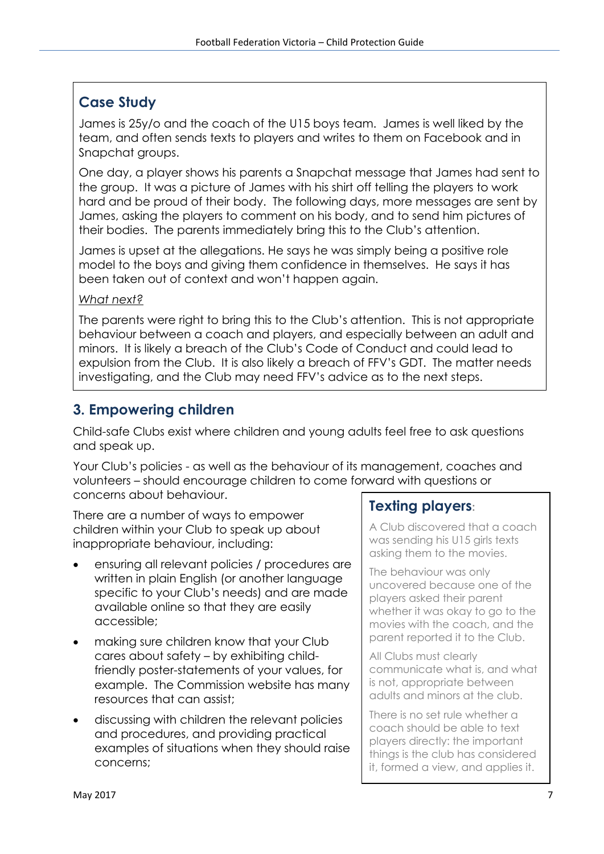### **Case Study**

James is 25y/o and the coach of the U15 boys team. James is well liked by the team, and often sends texts to players and writes to them on Facebook and in Snapchat groups.

One day, a player shows his parents a Snapchat message that James had sent to the group. It was a picture of James with his shirt off telling the players to work hard and be proud of their body. The following days, more messages are sent by James, asking the players to comment on his body, and to send him pictures of their bodies. The parents immediately bring this to the Club's attention.

James is upset at the allegations. He says he was simply being a positive role model to the boys and giving them confidence in themselves. He says it has been taken out of context and won't happen again.

#### *What next?*

The parents were right to bring this to the Club's attention. This is not appropriate behaviour between a coach and players, and especially between an adult and minors. It is likely a breach of the Club's Code of Conduct and could lead to expulsion from the Club. It is also likely a breach of FFV's GDT. The matter needs investigating, and the Club may need FFV's advice as to the next steps.

## **3. Empowering children**

Child-safe Clubs exist where children and young adults feel free to ask questions and speak up.

Your Club's policies - as well as the behaviour of its management, coaches and volunteers – should encourage children to come forward with questions or concerns about behaviour.

There are a number of ways to empower children within your Club to speak up about inappropriate behaviour, including:

- ensuring all relevant policies / procedures are written in plain English (or another language specific to your Club's needs) and are made available online so that they are easily accessible;
- making sure children know that your Club cares about safety – by exhibiting childfriendly poster-statements of your values, for example. The Commission website has many resources that can assist;
- discussing with children the relevant policies and procedures, and providing practical examples of situations when they should raise concerns;

### **Texting players:**

A Club discovered that a coach was sending his U15 girls texts asking them to the movies.

The behaviour was only uncovered because one of the players asked their parent whether it was okay to go to the movies with the coach, and the parent reported it to the Club.

All Clubs must clearly communicate what is, and what is not, appropriate between adults and minors at the club.

There is no set rule whether a coach should be able to text players directly: the important things is the club has considered it, formed a view, and applies it.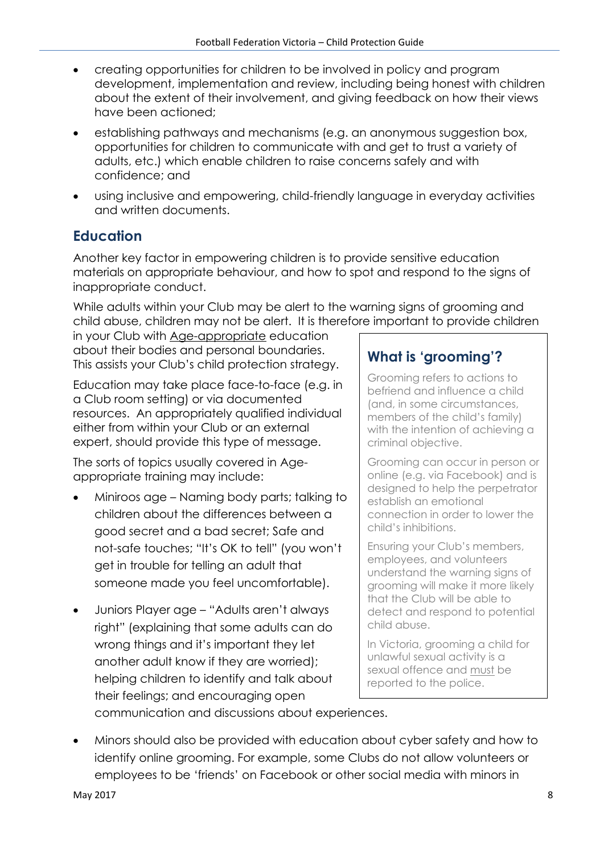- creating opportunities for children to be involved in policy and program development, implementation and review, including being honest with children about the extent of their involvement, and giving feedback on how their views have been actioned;
- establishing pathways and mechanisms (e.g. an anonymous suggestion box, opportunities for children to communicate with and get to trust a variety of adults, etc.) which enable children to raise concerns safely and with confidence; and
- using inclusive and empowering, child-friendly language in everyday activities and written documents.

# **Education**

Another key factor in empowering children is to provide sensitive education materials on appropriate behaviour, and how to spot and respond to the signs of inappropriate conduct.

While adults within your Club may be alert to the warning signs of grooming and child abuse, children may not be alert. It is therefore important to provide children

in your Club with Age-appropriate education about their bodies and personal boundaries. This assists your Club's child protection strategy.

Education may take place face-to-face (e.g. in a Club room setting) or via documented resources. An appropriately qualified individual either from within your Club or an external expert, should provide this type of message.

The sorts of topics usually covered in Ageappropriate training may include:

- Miniroos age Naming body parts; talking to children about the differences between a good secret and a bad secret; Safe and not-safe touches; "It's OK to tell" (you won't get in trouble for telling an adult that someone made you feel uncomfortable).
- Juniors Player age "Adults aren't always right" (explaining that some adults can do wrong things and it's important they let another adult know if they are worried); helping children to identify and talk about their feelings; and encouraging open

## **What is 'grooming'?**

Grooming refers to actions to befriend and influence a child (and, in some circumstances, members of the child's family) with the intention of achieving a criminal objective.

Grooming can occur in person or online (e.g. via Facebook) and is designed to help the perpetrator establish an emotional connection in order to lower the child's inhibitions.

Ensuring your Club's members, employees, and volunteers understand the warning signs of grooming will make it more likely that the Club will be able to detect and respond to potential child abuse.

In Victoria, grooming a child for unlawful sexual activity is a sexual offence and must be reported to the police.

communication and discussions about experiences.

• Minors should also be provided with education about cyber safety and how to identify online grooming. For example, some Clubs do not allow volunteers or employees to be 'friends' on Facebook or other social media with minors in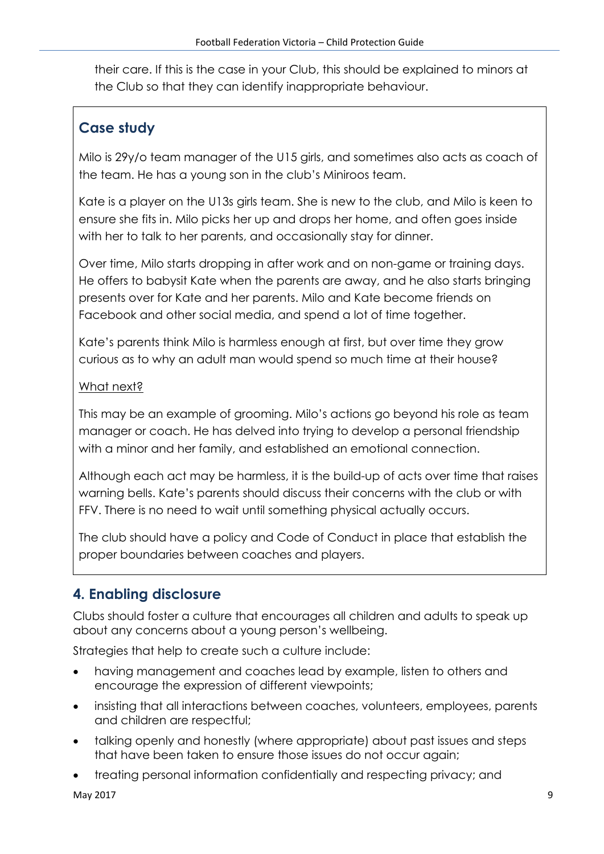their care. If this is the case in your Club, this should be explained to minors at the Club so that they can identify inappropriate behaviour.

# **Case study**

Milo is 29y/o team manager of the U15 girls, and sometimes also acts as coach of the team. He has a young son in the club's Miniroos team.

Kate is a player on the U13s girls team. She is new to the club, and Milo is keen to ensure she fits in. Milo picks her up and drops her home, and often goes inside with her to talk to her parents, and occasionally stay for dinner.

Over time, Milo starts dropping in after work and on non-game or training days. He offers to babysit Kate when the parents are away, and he also starts bringing presents over for Kate and her parents. Milo and Kate become friends on Facebook and other social media, and spend a lot of time together.

Kate's parents think Milo is harmless enough at first, but over time they grow curious as to why an adult man would spend so much time at their house?

#### What next?

This may be an example of grooming. Milo's actions go beyond his role as team manager or coach. He has delved into trying to develop a personal friendship with a minor and her family, and established an emotional connection.

Although each act may be harmless, it is the build-up of acts over time that raises warning bells. Kate's parents should discuss their concerns with the club or with FFV. There is no need to wait until something physical actually occurs.

The club should have a policy and Code of Conduct in place that establish the proper boundaries between coaches and players.

# **4. Enabling disclosure**

Clubs should foster a culture that encourages all children and adults to speak up about any concerns about a young person's wellbeing.

Strategies that help to create such a culture include:

- having management and coaches lead by example, listen to others and encourage the expression of different viewpoints;
- insisting that all interactions between coaches, volunteers, employees, parents and children are respectful;
- talking openly and honestly (where appropriate) about past issues and steps that have been taken to ensure those issues do not occur again;
- treating personal information confidentially and respecting privacy; and

May 2017 9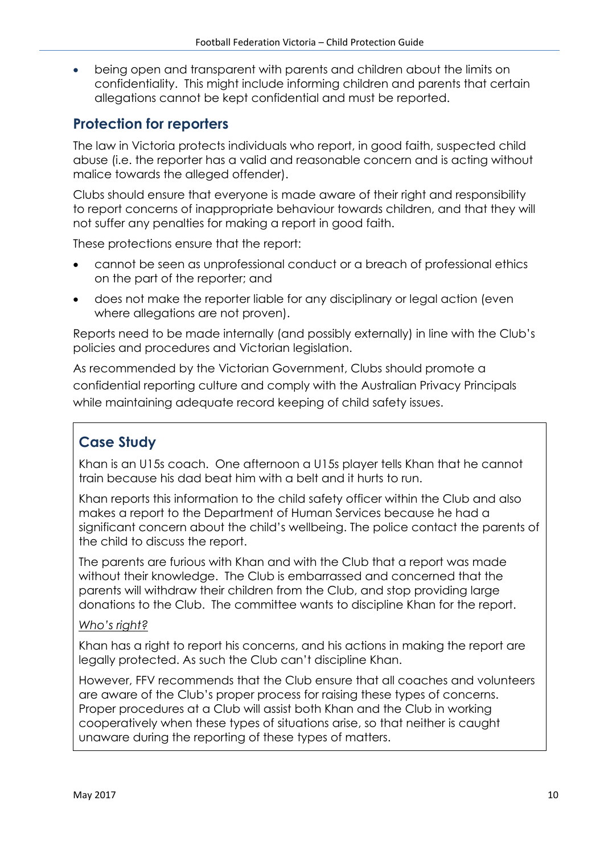• being open and transparent with parents and children about the limits on confidentiality. This might include informing children and parents that certain allegations cannot be kept confidential and must be reported.

#### **Protection for reporters**

The law in Victoria protects individuals who report, in good faith, suspected child abuse (i.e. the reporter has a valid and reasonable concern and is acting without malice towards the alleged offender).

Clubs should ensure that everyone is made aware of their right and responsibility to report concerns of inappropriate behaviour towards children, and that they will not suffer any penalties for making a report in good faith.

These protections ensure that the report:

- cannot be seen as unprofessional conduct or a breach of professional ethics on the part of the reporter; and
- does not make the reporter liable for any disciplinary or legal action (even where allegations are not proven).

Reports need to be made internally (and possibly externally) in line with the Club's policies and procedures and Victorian legislation.

As recommended by the Victorian Government, Clubs should promote a confidential reporting culture and comply with the Australian Privacy Principals while maintaining adequate record keeping of child safety issues.

# **Case Study**

Khan is an U15s coach. One afternoon a U15s player tells Khan that he cannot train because his dad beat him with a belt and it hurts to run.

Khan reports this information to the child safety officer within the Club and also makes a report to the Department of Human Services because he had a significant concern about the child's wellbeing. The police contact the parents of the child to discuss the report.

The parents are furious with Khan and with the Club that a report was made without their knowledge. The Club is embarrassed and concerned that the parents will withdraw their children from the Club, and stop providing large donations to the Club. The committee wants to discipline Khan for the report.

#### Who's right?

Khan has a right to report his concerns, and his actions in making the report are legally protected. As such the Club can't discipline Khan.

However, FFV recommends that the Club ensure that all coaches and volunteers are aware of the Club's proper process for raising these types of concerns. Proper procedures at a Club will assist both Khan and the Club in working cooperatively when these types of situations arise, so that neither is caught unaware during the reporting of these types of matters.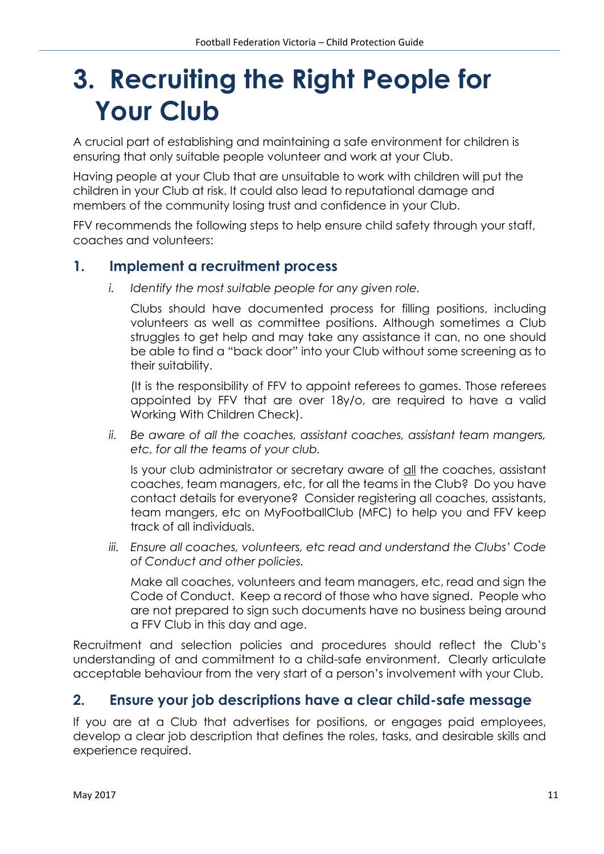# **3. Recruiting the Right People for Your Club**

A crucial part of establishing and maintaining a safe environment for children is ensuring that only suitable people volunteer and work at your Club.

Having people at your Club that are unsuitable to work with children will put the children in your Club at risk. It could also lead to reputational damage and members of the community losing trust and confidence in your Club.

FFV recommends the following steps to help ensure child safety through your staff, coaches and volunteers:

#### **1. Implement a recruitment process**

*i. Identify the most suitable people for any given role.* 

Clubs should have documented process for filling positions, including volunteers as well as committee positions. Although sometimes a Club struggles to get help and may take any assistance it can, no one should be able to find a "back door" into your Club without some screening as to their suitability.

(It is the responsibility of FFV to appoint referees to games. Those referees appointed by FFV that are over 18y/o, are required to have a valid Working With Children Check).

*ii. Be aware of all the coaches, assistant coaches, assistant team mangers, etc, for all the teams of your club.* 

Is your club administrator or secretary aware of all the coaches, assistant coaches, team managers, etc, for all the teams in the Club? Do you have contact details for everyone? Consider registering all coaches, assistants, team mangers, etc on MyFootballClub (MFC) to help you and FFV keep track of all individuals.

*iii. Ensure all coaches, volunteers, etc read and understand the Clubs' Code of Conduct and other policies.*

Make all coaches, volunteers and team managers, etc, read and sign the Code of Conduct. Keep a record of those who have signed. People who are not prepared to sign such documents have no business being around a FFV Club in this day and age.

Recruitment and selection policies and procedures should reflect the Club's understanding of and commitment to a child-safe environment. Clearly articulate acceptable behaviour from the very start of a person's involvement with your Club.

#### **2. Ensure your job descriptions have a clear child-safe message**

If you are at a Club that advertises for positions, or engages paid employees, develop a clear job description that defines the roles, tasks, and desirable skills and experience required.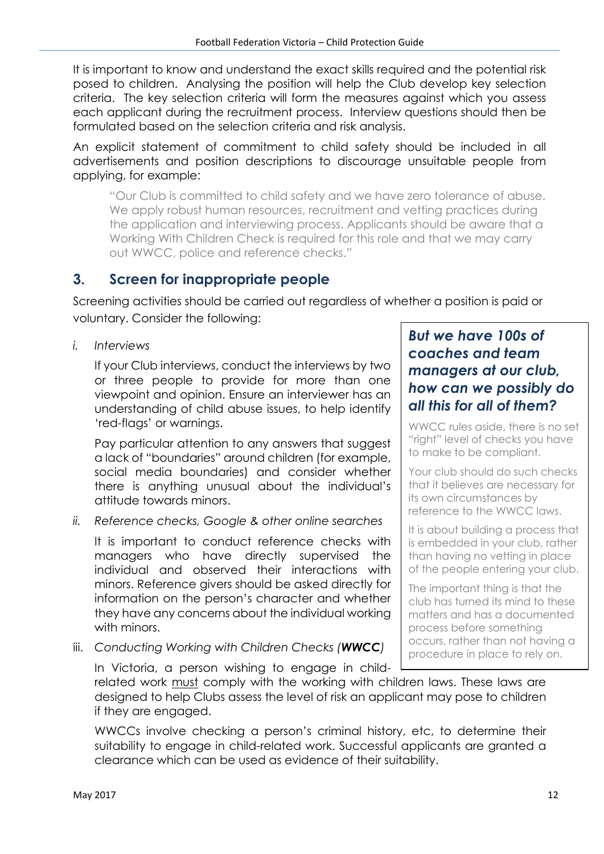It is important to know and understand the exact skills required and the potential risk posed to children. Analysing the position will help the Club develop key selection criteria. The key selection criteria will form the measures against which you assess each applicant during the recruitment process. Interview questions should then be formulated based on the selection criteria and risk analysis.

An explicit statement of commitment to child safety should be included in all advertisements and position descriptions to discourage unsuitable people from applying, for example:

"Our Club is committed to child safety and we have zero tolerance of abuse. We apply robust human resources, recruitment and vetting practices during the application and interviewing process. Applicants should be aware that a Working With Children Check is required for this role and that we may carry out WWCC, police and reference checks."

### **3. Screen for inappropriate people**

Screening activities should be carried out regardless of whether a position is paid or voluntary. Consider the following:

*i. Interviews*

If your Club interviews, conduct the interviews by two or three people to provide for more than one viewpoint and opinion. Ensure an interviewer has an understanding of child abuse issues, to help identify 'red-flags' or warnings.

Pay particular attention to any answers that suggest a lack of "boundaries" around children (for example, social media boundaries) and consider whether there is anything unusual about the individual's attitude towards minors.

*ii. Reference checks, Google & other online searches*

It is important to conduct reference checks with managers who have directly supervised the individual and observed their interactions with minors. Reference givers should be asked directly for information on the person's character and whether they have any concerns about the individual working with minors.

iii. *Conducting Working with Children Checks (WWCC)*

#### *But we have 100s of coaches and team managers at our club, how can we possibly do all this for all of them?*

WWCC rules aside, there is no set "right" level of checks you have to make to be compliant.

Your club should do such checks that it believes are necessary for its own circumstances by reference to the WWCC laws.

It is about building a process that is embedded in your club, rather than having no vetting in place of the people entering your club.

The important thing is that the club has turned its mind to these matters and has a documented process before something occurs, rather than not having a procedure in place to rely on.

In Victoria, a person wishing to engage in childrelated work must comply with the working with children laws. These laws are designed to help Clubs assess the level of risk an applicant may pose to children if they are engaged.

WWCCs involve checking a person's criminal history, etc, to determine their suitability to engage in child-related work. Successful applicants are granted a clearance which can be used as evidence of their suitability.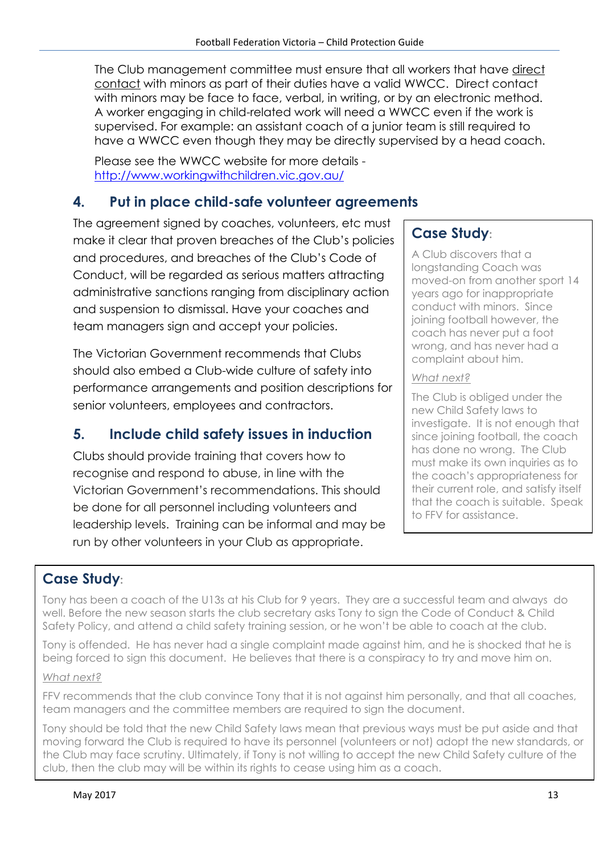The Club management committee must ensure that all workers that have direct contact with minors as part of their duties have a valid WWCC. Direct contact with minors may be face to face, verbal, in writing, or by an electronic method. A worker engaging in child-related work will need a WWCC even if the work is supervised. For example: an assistant coach of a junior team is still required to have a WWCC even though they may be directly supervised by a head coach.

Please see the WWCC website for more details <http://www.workingwithchildren.vic.gov.au/>

### **4. Put in place child-safe volunteer agreements**

The agreement signed by coaches, volunteers, etc must make it clear that proven breaches of the Club's policies and procedures, and breaches of the Club's Code of Conduct, will be regarded as serious matters attracting administrative sanctions ranging from disciplinary action and suspension to dismissal. Have your coaches and team managers sign and accept your policies.

The Victorian Government recommends that Clubs should also embed a Club-wide culture of safety into performance arrangements and position descriptions for senior volunteers, employees and contractors.

### **5. Include child safety issues in induction**

Clubs should provide training that covers how to recognise and respond to abuse, in line with the Victorian Government's recommendations. This should be done for all personnel including volunteers and leadership levels. Training can be informal and may be run by other volunteers in your Club as appropriate.

## **Case Study:**

A Club discovers that a longstanding Coach was moved-on from another sport 14 years ago for inappropriate conduct with minors. Since joining football however, the coach has never put a foot wrong, and has never had a complaint about him.

#### *What next?*

The Club is obliged under the new Child Safety laws to investigate. It is not enough that since joining football, the coach has done no wrong. The Club must make its own inquiries as to the coach's appropriateness for their current role, and satisfy itself that the coach is suitable. Speak to FFV for assistance.

#### **Case Study:**

Tony has been a coach of the U13s at his Club for 9 years. They are a successful team and always do well. Before the new season starts the club secretary asks Tony to sign the Code of Conduct & Child Safety Policy, and attend a child safety training session, or he won't be able to coach at the club.

Tony is offended. He has never had a single complaint made against him, and he is shocked that he is being forced to sign this document. He believes that there is a conspiracy to try and move him on.

#### *What next?*

FFV recommends that the club convince Tony that it is not against him personally, and that all coaches, team managers and the committee members are required to sign the document.

Tony should be told that the new Child Safety laws mean that previous ways must be put aside and that moving forward the Club is required to have its personnel (volunteers or not) adopt the new standards, or the Club may face scrutiny. Ultimately, if Tony is not willing to accept the new Child Safety culture of the club, then the club may will be within its rights to cease using him as a coach.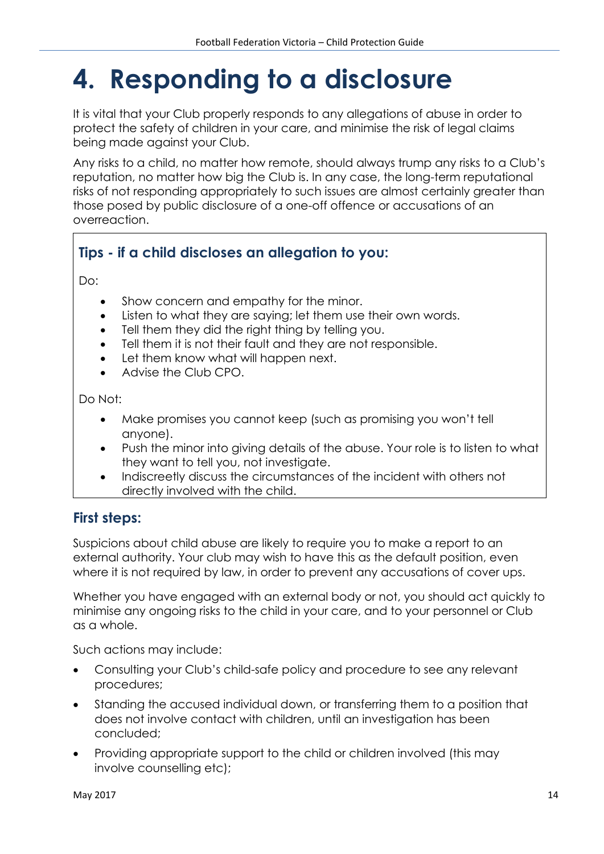# **4. Responding to a disclosure**

It is vital that your Club properly responds to any allegations of abuse in order to protect the safety of children in your care, and minimise the risk of legal claims being made against your Club.

Any risks to a child, no matter how remote, should always trump any risks to a Club's reputation, no matter how big the Club is. In any case, the long-term reputational risks of not responding appropriately to such issues are almost certainly greater than those posed by public disclosure of a one-off offence or accusations of an overreaction.

## **Tips - if a child discloses an allegation to you:**

Do:

- Show concern and empathy for the minor.
- Listen to what they are saying; let them use their own words.
- Tell them they did the right thing by telling you.
- Tell them it is not their fault and they are not responsible.
- Let them know what will happen next.
- Advise the Club CPO.

Do Not:

- Make promises you cannot keep (such as promising you won't tell anyone).
- Push the minor into giving details of the abuse. Your role is to listen to what they want to tell you, not investigate.
- Indiscreetly discuss the circumstances of the incident with others not directly involved with the child.

#### **First steps:**

Suspicions about child abuse are likely to require you to make a report to an external authority. Your club may wish to have this as the default position, even where it is not required by law, in order to prevent any accusations of cover ups.

Whether you have engaged with an external body or not, you should act quickly to minimise any ongoing risks to the child in your care, and to your personnel or Club as a whole.

Such actions may include:

- Consulting your Club's child-safe policy and procedure to see any relevant procedures;
- Standing the accused individual down, or transferring them to a position that does not involve contact with children, until an investigation has been concluded;
- Providing appropriate support to the child or children involved (this may involve counselling etc);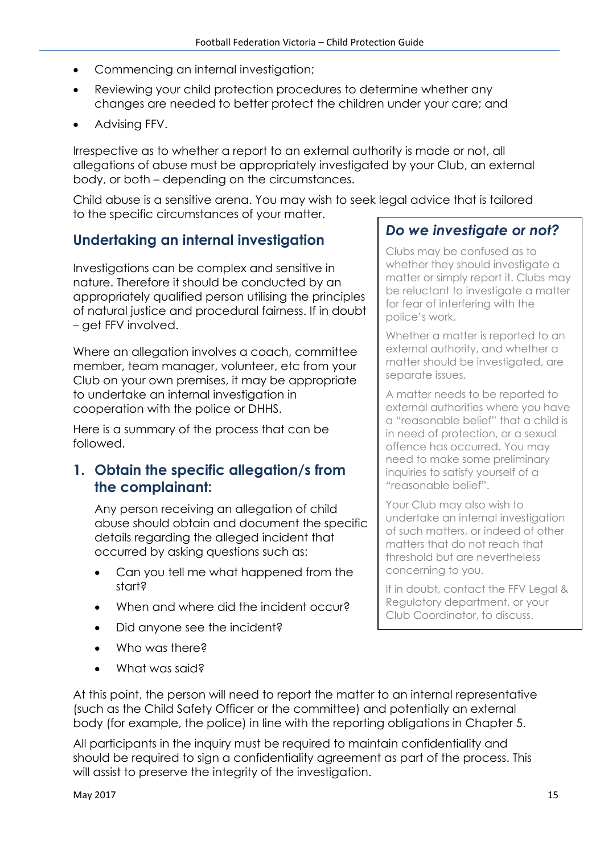- Commencing an internal investigation;
- Reviewing your child protection procedures to determine whether any changes are needed to better protect the children under your care; and
- Advising FFV.

Irrespective as to whether a report to an external authority is made or not, all allegations of abuse must be appropriately investigated by your Club, an external body, or both – depending on the circumstances.

Child abuse is a sensitive arena. You may wish to seek legal advice that is tailored to the specific circumstances of your matter.

#### **Undertaking an internal investigation**

Investigations can be complex and sensitive in nature. Therefore it should be conducted by an appropriately qualified person utilising the principles of natural justice and procedural fairness. If in doubt – get FFV involved.

Where an allegation involves a coach, committee member, team manager, volunteer, etc from your Club on your own premises, it may be appropriate to undertake an internal investigation in cooperation with the police or DHHS.

Here is a summary of the process that can be followed.

#### **1. Obtain the specific allegation/s from the complainant:**

Any person receiving an allegation of child abuse should obtain and document the specific details regarding the alleged incident that occurred by asking questions such as:

- Can you tell me what happened from the start?
- When and where did the incident occur?
- Did anyone see the incident?
- Who was there?
- What was said?

#### *Do we investigate or not?*

Clubs may be confused as to whether they should investigate a matter or simply report it. Clubs may be reluctant to investigate a matter for fear of interfering with the police's work.

Whether a matter is reported to an external authority, and whether a matter should be investigated, are separate issues.

A matter needs to be reported to external authorities where you have a "reasonable belief" that a child is in need of protection, or a sexual offence has occurred. You may need to make some preliminary inquiries to satisfy yourself of a "reasonable belief".

Your Club may also wish to undertake an internal investigation of such matters, or indeed of other matters that do not reach that threshold but are nevertheless concerning to you.

If in doubt, contact the FFV Legal & Regulatory department, or your Club Coordinator, to discuss.

At this point, the person will need to report the matter to an internal representative (such as the Child Safety Officer or the committee) and potentially an external body (for example, the police) in line with the reporting obligations in Chapter 5.

All participants in the inquiry must be required to maintain confidentiality and should be required to sign a confidentiality agreement as part of the process. This will assist to preserve the integrity of the investigation.

May 2017  $\hspace{1.5cm}$  15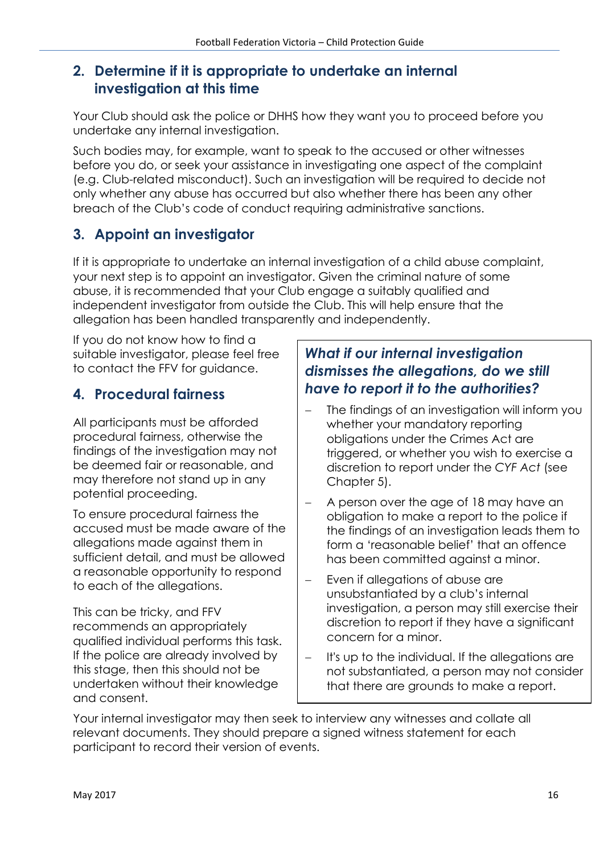#### **2. Determine if it is appropriate to undertake an internal investigation at this time**

Your Club should ask the police or DHHS how they want you to proceed before you undertake any internal investigation.

Such bodies may, for example, want to speak to the accused or other witnesses before you do, or seek your assistance in investigating one aspect of the complaint (e.g. Club-related misconduct). Such an investigation will be required to decide not only whether any abuse has occurred but also whether there has been any other breach of the Club's code of conduct requiring administrative sanctions.

# **3. Appoint an investigator**

If it is appropriate to undertake an internal investigation of a child abuse complaint, your next step is to appoint an investigator. Given the criminal nature of some abuse, it is recommended that your Club engage a suitably qualified and independent investigator from outside the Club. This will help ensure that the allegation has been handled transparently and independently.

If you do not know how to find a suitable investigator, please feel free to contact the FFV for guidance.

### **4. Procedural fairness**

All participants must be afforded procedural fairness, otherwise the findings of the investigation may not be deemed fair or reasonable, and may therefore not stand up in any potential proceeding.

To ensure procedural fairness the accused must be made aware of the allegations made against them in sufficient detail, and must be allowed a reasonable opportunity to respond to each of the allegations.

This can be tricky, and FFV recommends an appropriately qualified individual performs this task. If the police are already involved by this stage, then this should not be undertaken without their knowledge and consent.

#### *What if our internal investigation dismisses the allegations, do we still have to report it to the authorities?*

- The findings of an investigation will inform you whether your mandatory reporting obligations under the Crimes Act are triggered, or whether you wish to exercise a discretion to report under the *CYF Act* (see Chapter 5).
- A person over the age of 18 may have an obligation to make a report to the police if the findings of an investigation leads them to form a 'reasonable belief' that an offence has been committed against a minor.
- Even if allegations of abuse are unsubstantiated by a club's internal investigation, a person may still exercise their discretion to report if they have a significant concern for a minor.
- It's up to the individual. If the allegations are not substantiated, a person may not consider that there are grounds to make a report.

Your internal investigator may then seek to interview any witnesses and collate all relevant documents. They should prepare a signed witness statement for each participant to record their version of events.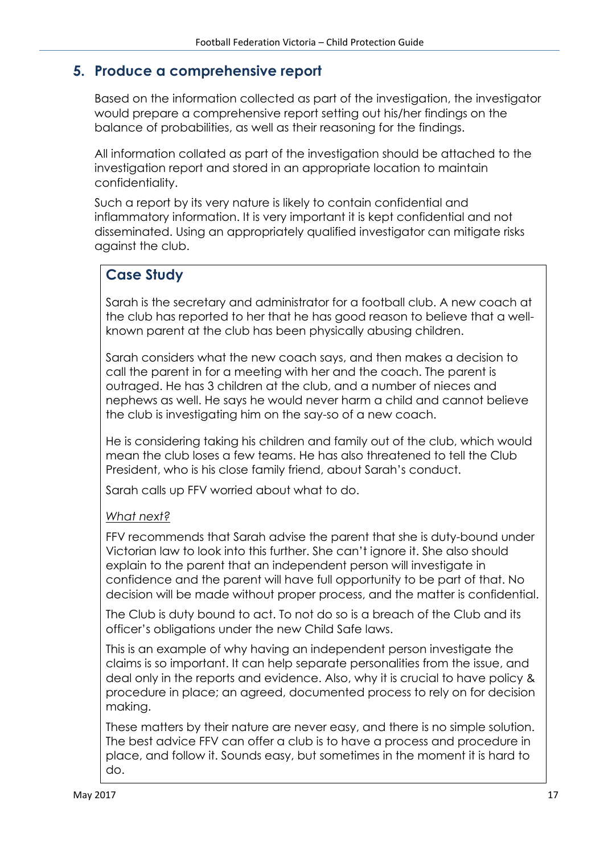#### **5. Produce a comprehensive report**

Based on the information collected as part of the investigation, the investigator would prepare a comprehensive report setting out his/her findings on the balance of probabilities, as well as their reasoning for the findings.

All information collated as part of the investigation should be attached to the investigation report and stored in an appropriate location to maintain confidentiality.

Such a report by its very nature is likely to contain confidential and inflammatory information. It is very important it is kept confidential and not disseminated. Using an appropriately qualified investigator can mitigate risks against the club.

### **Case Study**

Sarah is the secretary and administrator for a football club. A new coach at the club has reported to her that he has good reason to believe that a wellknown parent at the club has been physically abusing children.

Sarah considers what the new coach says, and then makes a decision to call the parent in for a meeting with her and the coach. The parent is outraged. He has 3 children at the club, and a number of nieces and nephews as well. He says he would never harm a child and cannot believe the club is investigating him on the say-so of a new coach.

He is considering taking his children and family out of the club, which would mean the club loses a few teams. He has also threatened to tell the Club President, who is his close family friend, about Sarah's conduct.

Sarah calls up FFV worried about what to do.

#### *What next?*

FFV recommends that Sarah advise the parent that she is duty-bound under Victorian law to look into this further. She can't ignore it. She also should explain to the parent that an independent person will investigate in confidence and the parent will have full opportunity to be part of that. No decision will be made without proper process, and the matter is confidential.

The Club is duty bound to act. To not do so is a breach of the Club and its officer's obligations under the new Child Safe laws.

This is an example of why having an independent person investigate the claims is so important. It can help separate personalities from the issue, and deal only in the reports and evidence. Also, why it is crucial to have policy & procedure in place; an agreed, documented process to rely on for decision making.

These matters by their nature are never easy, and there is no simple solution. The best advice FFV can offer a club is to have a process and procedure in place, and follow it. Sounds easy, but sometimes in the moment it is hard to do.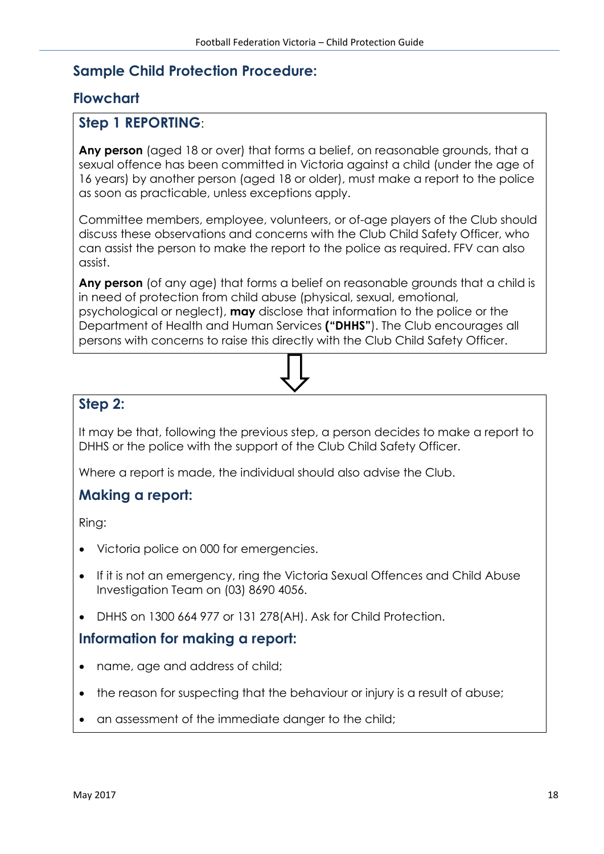#### **Sample Child Protection Procedure:**

#### **Flowchart**

#### **Step 1 REPORTING**:

**Any person** (aged 18 or over) that forms a belief, on reasonable grounds, that a sexual offence has been committed in Victoria against a child (under the age of 16 years) by another person (aged 18 or older), must make a report to the police as soon as practicable, unless exceptions apply.

Committee members, employee, volunteers, or of-age players of the Club should discuss these observations and concerns with the Club Child Safety Officer, who can assist the person to make the report to the police as required. FFV can also assist.

**Any person** (of any age) that forms a belief on reasonable grounds that a child is in need of protection from child abuse (physical, sexual, emotional, psychological or neglect), **may** disclose that information to the police or the Department of Health and Human Services **("DHHS"**). The Club encourages all persons with concerns to raise this directly with the Club Child Safety Officer.

#### **Step 2:**

It may be that, following the previous step, a person decides to make a report to DHHS or the police with the support of the Club Child Safety Officer.

Where a report is made, the individual should also advise the Club.

#### **Making a report:**

Ring:

- Victoria police on 000 for emergencies.
- If it is not an emergency, ring the Victoria Sexual Offences and Child Abuse Investigation Team on (03) 8690 4056.
- DHHS on 1300 664 977 or 131 278(AH). Ask for Child Protection.

#### **Information for making a report:**

- name, age and address of child;
- the reason for suspecting that the behaviour or injury is a result of abuse;
- an assessment of the immediate danger to the child;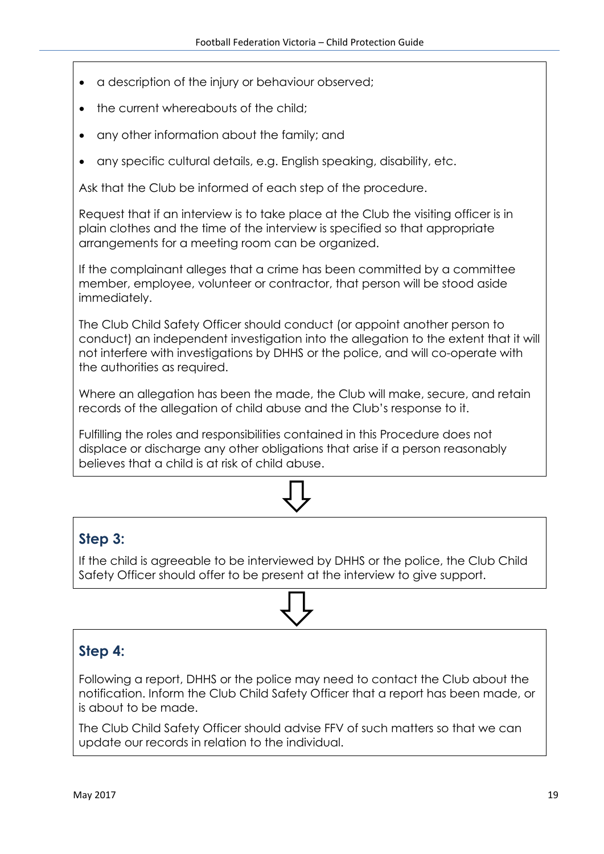- a description of the injury or behaviour observed;
- the current whereabouts of the child;
- any other information about the family; and
- any specific cultural details, e.g. English speaking, disability, etc.

Ask that the Club be informed of each step of the procedure.

Request that if an interview is to take place at the Club the visiting officer is in plain clothes and the time of the interview is specified so that appropriate arrangements for a meeting room can be organized.

If the complainant alleges that a crime has been committed by a committee member, employee, volunteer or contractor, that person will be stood aside immediately.

The Club Child Safety Officer should conduct (or appoint another person to conduct) an independent investigation into the allegation to the extent that it will not interfere with investigations by DHHS or the police, and will co-operate with the authorities as required.

Where an allegation has been the made, the Club will make, secure, and retain records of the allegation of child abuse and the Club's response to it.

Fulfilling the roles and responsibilities contained in this Procedure does not displace or discharge any other obligations that arise if a person reasonably believes that a child is at risk of child abuse.



#### **Step 3:**

If the child is agreeable to be interviewed by DHHS or the police, the Club Child Safety Officer should offer to be present at the interview to give support.

#### **Step 4:**

Following a report, DHHS or the police may need to contact the Club about the notification. Inform the Club Child Safety Officer that a report has been made, or is about to be made.

The Club Child Safety Officer should advise FFV of such matters so that we can update our records in relation to the individual.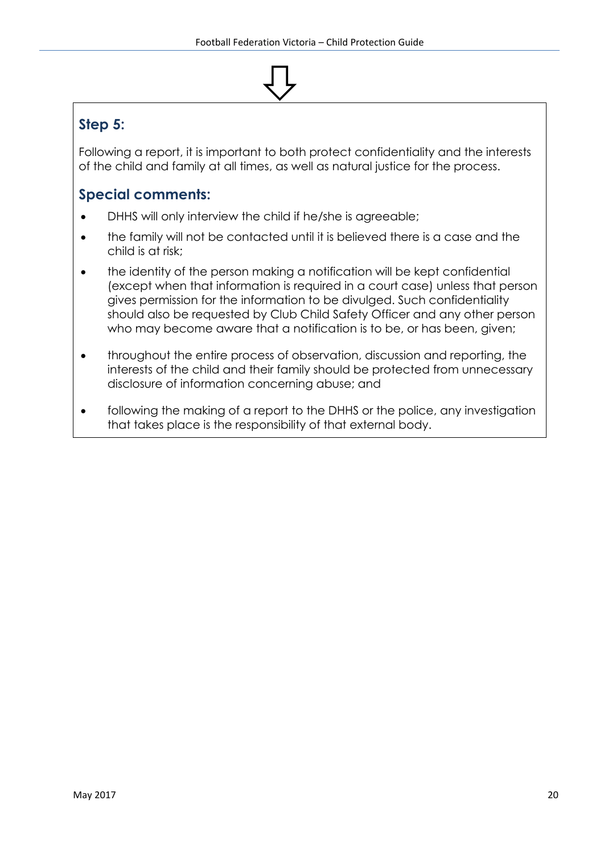# **Step 5:**

Following a report, it is important to both protect confidentiality and the interests of the child and family at all times, as well as natural justice for the process.

## **Special comments:**

- DHHS will only interview the child if he/she is agreeable;
- the family will not be contacted until it is believed there is a case and the child is at risk;
- the identity of the person making a notification will be kept confidential (except when that information is required in a court case) unless that person gives permission for the information to be divulged. Such confidentiality should also be requested by Club Child Safety Officer and any other person who may become aware that a notification is to be, or has been, given;
- throughout the entire process of observation, discussion and reporting, the interests of the child and their family should be protected from unnecessary disclosure of information concerning abuse; and
- following the making of a report to the DHHS or the police, any investigation that takes place is the responsibility of that external body.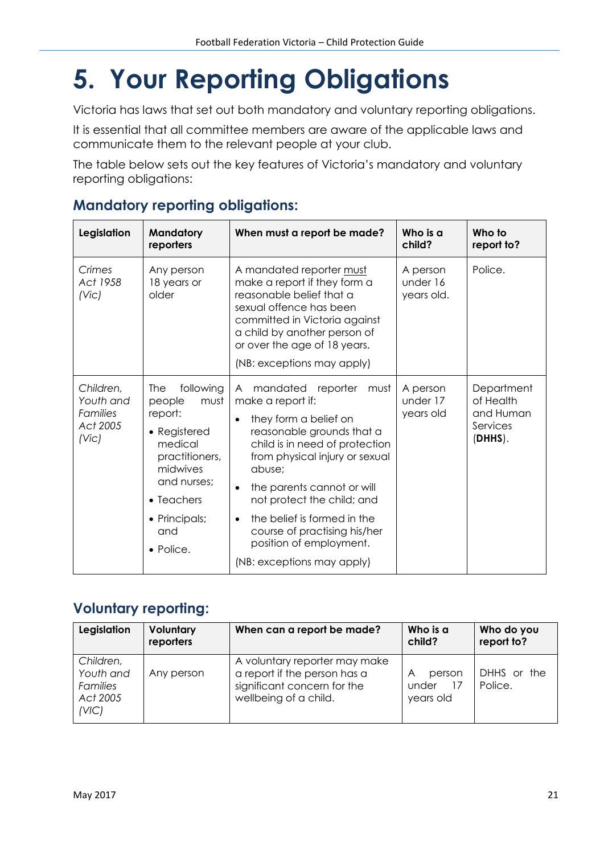# **5. Your Reporting Obligations**

Victoria has laws that set out both mandatory and voluntary reporting obligations.

It is essential that all committee members are aware of the applicable laws and communicate them to the relevant people at your club.

The table below sets out the key features of Victoria's mandatory and voluntary reporting obligations:

| Legislation<br><b>Mandatory</b><br>reporters                               |                                                                                                                                                                                  | When must a report be made?                                                                                                                                                                                                                                                                                                                                                                           | Who is a<br>child?                 | Who to<br>report to?                                        |
|----------------------------------------------------------------------------|----------------------------------------------------------------------------------------------------------------------------------------------------------------------------------|-------------------------------------------------------------------------------------------------------------------------------------------------------------------------------------------------------------------------------------------------------------------------------------------------------------------------------------------------------------------------------------------------------|------------------------------------|-------------------------------------------------------------|
| Crimes<br>Act 1958<br>(V <sub>i</sub> )                                    | Any person<br>18 years or<br>older                                                                                                                                               | A mandated reporter must<br>make a report if they form a<br>reasonable belief that a<br>sexual offence has been<br>committed in Victoria against<br>a child by another person of<br>or over the age of 18 years.<br>(NB: exceptions may apply)                                                                                                                                                        | A person<br>under 16<br>years old. | Police.                                                     |
| Children,<br>Youth and<br><b>Families</b><br>Act 2005<br>(V <sub>i</sub> ) | following<br>The<br>must<br>people<br>report:<br>• Registered<br>medical<br>practitioners,<br>midwives<br>and nurses;<br>• Teachers<br>• Principals;<br>and<br>$\bullet$ Police. | mandated reporter<br>must<br>A<br>make a report if:<br>they form a belief on<br>$\bullet$<br>reasonable grounds that a<br>child is in need of protection<br>from physical injury or sexual<br>abuse;<br>the parents cannot or will<br>not protect the child; and<br>the belief is formed in the<br>$\bullet$<br>course of practising his/her<br>position of employment.<br>(NB: exceptions may apply) | A person<br>under 17<br>years old  | Department<br>of Health<br>and Human<br>Services<br>(DHHS). |

#### **Mandatory reporting obligations:**

#### **Voluntary reporting:**

| Legislation                                             | Voluntary<br>reporters | When can a report be made?                                                                                            | Who is a<br>child?                | Who do you<br>report to? |
|---------------------------------------------------------|------------------------|-----------------------------------------------------------------------------------------------------------------------|-----------------------------------|--------------------------|
| Children,<br>Youth and<br>Families<br>Act 2005<br>(VIC) | Any person             | A voluntary reporter may make<br>a report if the person has a<br>significant concern for the<br>wellbeing of a child. | A<br>person<br>under<br>years old | DHHS or the<br>Police.   |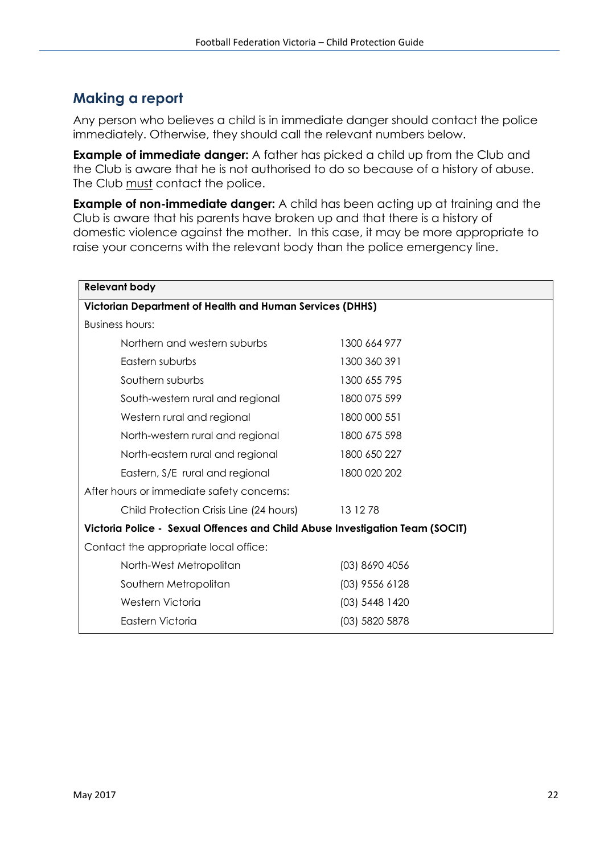#### **Making a report**

Any person who believes a child is in immediate danger should contact the police immediately. Otherwise, they should call the relevant numbers below.

**Example of immediate danger:** A father has picked a child up from the Club and the Club is aware that he is not authorised to do so because of a history of abuse. The Club must contact the police.

**Example of non-immediate danger:** A child has been acting up at training and the Club is aware that his parents have broken up and that there is a history of domestic violence against the mother. In this case, it may be more appropriate to raise your concerns with the relevant body than the police emergency line.

| <b>Relevant body</b>                                                         |                  |  |  |  |  |
|------------------------------------------------------------------------------|------------------|--|--|--|--|
| Victorian Department of Health and Human Services (DHHS)                     |                  |  |  |  |  |
| Business hours:                                                              |                  |  |  |  |  |
| Northern and western suburbs                                                 | 1300 664 977     |  |  |  |  |
| Eastern suburbs                                                              | 1300 360 391     |  |  |  |  |
| Southern suburbs                                                             | 1300 655 795     |  |  |  |  |
| South-western rural and regional                                             | 1800 075 599     |  |  |  |  |
| Western rural and regional                                                   | 1800 000 551     |  |  |  |  |
| North-western rural and regional                                             | 1800 675 598     |  |  |  |  |
| North-eastern rural and regional                                             | 1800 650 227     |  |  |  |  |
| Eastern, S/E rural and regional                                              | 1800 020 202     |  |  |  |  |
| After hours or immediate safety concerns:                                    |                  |  |  |  |  |
| Child Protection Crisis Line (24 hours)                                      | 13 12 78         |  |  |  |  |
| Victoria Police - Sexual Offences and Child Abuse Investigation Team (SOCIT) |                  |  |  |  |  |
| Contact the appropriate local office:                                        |                  |  |  |  |  |
| North-West Metropolitan                                                      | (03) 8690 4056   |  |  |  |  |
| Southern Metropolitan                                                        | $(03)$ 9556 6128 |  |  |  |  |
| Western Victoria                                                             | (03) 5448 1420   |  |  |  |  |
| Eastern Victoria                                                             | (03) 5820 5878   |  |  |  |  |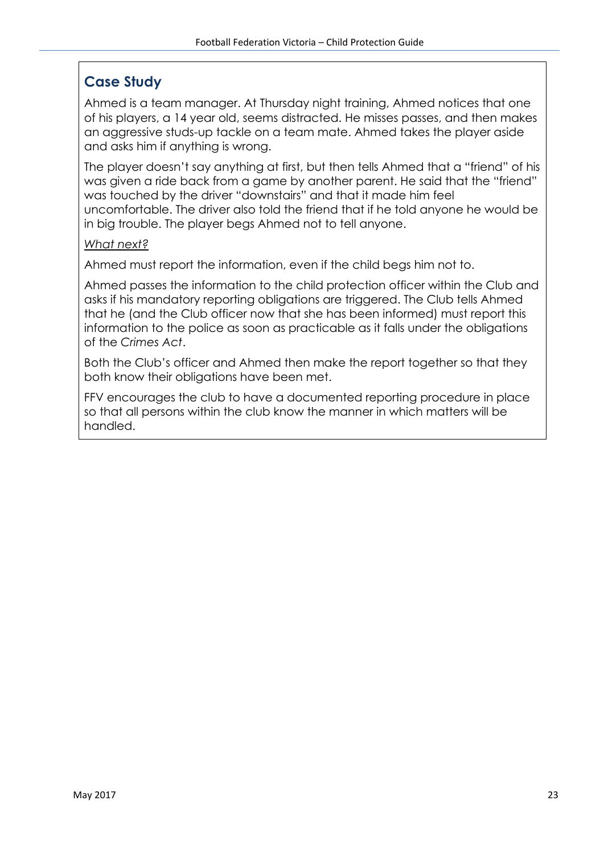### **Case Study**

Ahmed is a team manager. At Thursday night training, Ahmed notices that one of his players, a 14 year old, seems distracted. He misses passes, and then makes an aggressive studs-up tackle on a team mate. Ahmed takes the player aside and asks him if anything is wrong.

The player doesn't say anything at first, but then tells Ahmed that a "friend" of his was given a ride back from a game by another parent. He said that the "friend" was touched by the driver "downstairs" and that it made him feel uncomfortable. The driver also told the friend that if he told anyone he would be in big trouble. The player begs Ahmed not to tell anyone.

#### *What next?*

Ahmed must report the information, even if the child begs him not to.

Ahmed passes the information to the child protection officer within the Club and asks if his mandatory reporting obligations are triggered. The Club tells Ahmed that he (and the Club officer now that she has been informed) must report this information to the police as soon as practicable as it falls under the obligations of the *Crimes Act*.

Both the Club's officer and Ahmed then make the report together so that they both know their obligations have been met.

FFV encourages the club to have a documented reporting procedure in place so that all persons within the club know the manner in which matters will be handled.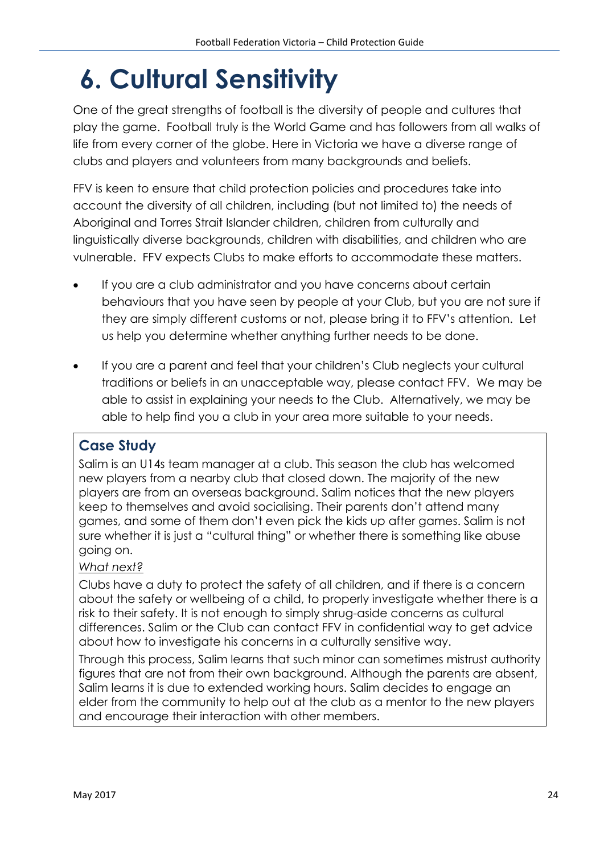# **6. Cultural Sensitivity**

One of the great strengths of football is the diversity of people and cultures that play the game. Football truly is the World Game and has followers from all walks of life from every corner of the globe. Here in Victoria we have a diverse range of clubs and players and volunteers from many backgrounds and beliefs.

FFV is keen to ensure that child protection policies and procedures take into account the diversity of all children, including (but not limited to) the needs of Aboriginal and Torres Strait Islander children, children from culturally and linguistically diverse backgrounds, children with disabilities, and children who are vulnerable. FFV expects Clubs to make efforts to accommodate these matters.

- If you are a club administrator and you have concerns about certain behaviours that you have seen by people at your Club, but you are not sure if they are simply different customs or not, please bring it to FFV's attention. Let us help you determine whether anything further needs to be done.
- If you are a parent and feel that your children's Club neglects your cultural traditions or beliefs in an unacceptable way, please contact FFV. We may be able to assist in explaining your needs to the Club. Alternatively, we may be able to help find you a club in your area more suitable to your needs.

### **Case Study**

Salim is an U14s team manager at a club. This season the club has welcomed new players from a nearby club that closed down. The majority of the new players are from an overseas background. Salim notices that the new players keep to themselves and avoid socialising. Their parents don't attend many games, and some of them don't even pick the kids up after games. Salim is not sure whether it is just a "cultural thing" or whether there is something like abuse going on.

#### *What next?*

Clubs have a duty to protect the safety of all children, and if there is a concern about the safety or wellbeing of a child, to properly investigate whether there is a risk to their safety. It is not enough to simply shrug-aside concerns as cultural differences. Salim or the Club can contact FFV in confidential way to get advice about how to investigate his concerns in a culturally sensitive way.

Through this process, Salim learns that such minor can sometimes mistrust authority figures that are not from their own background. Although the parents are absent, Salim learns it is due to extended working hours. Salim decides to engage an elder from the community to help out at the club as a mentor to the new players and encourage their interaction with other members.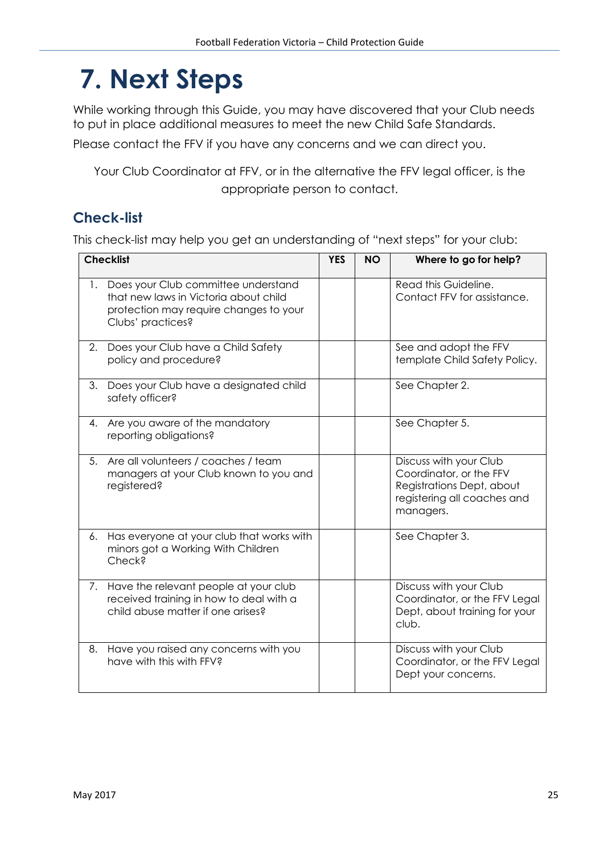# **7. Next Steps**

While working through this Guide, you may have discovered that your Club needs to put in place additional measures to meet the new Child Safe Standards.

Please contact the FFV if you have any concerns and we can direct you.

Your Club Coordinator at FFV, or in the alternative the FFV legal officer, is the appropriate person to contact.

## **Check-list**

This check-list may help you get an understanding of "next steps" for your club:

| <b>Checklist</b> |                                                                                                                                             | <b>YES</b> | <b>NO</b> | Where to go for help?                                                                                                      |
|------------------|---------------------------------------------------------------------------------------------------------------------------------------------|------------|-----------|----------------------------------------------------------------------------------------------------------------------------|
| 1.               | Does your Club committee understand<br>that new laws in Victoria about child<br>protection may require changes to your<br>Clubs' practices? |            |           | Read this Guideline.<br>Contact FFV for assistance.                                                                        |
|                  | 2. Does your Club have a Child Safety<br>policy and procedure?                                                                              |            |           | See and adopt the FFV<br>template Child Safety Policy.                                                                     |
| 3.               | Does your Club have a designated child<br>safety officer?                                                                                   |            |           | See Chapter 2.                                                                                                             |
| 4.               | Are you aware of the mandatory<br>reporting obligations?                                                                                    |            |           | See Chapter 5.                                                                                                             |
| 5 <sub>1</sub>   | Are all volunteers / coaches / team<br>managers at your Club known to you and<br>registered?                                                |            |           | Discuss with your Club<br>Coordinator, or the FFV<br>Registrations Dept, about<br>registering all coaches and<br>managers. |
| 6.               | Has everyone at your club that works with<br>minors got a Working With Children<br>Check?                                                   |            |           | See Chapter 3.                                                                                                             |
| 7.               | Have the relevant people at your club<br>received training in how to deal with a<br>child abuse matter if one arises?                       |            |           | Discuss with your Club<br>Coordinator, or the FFV Legal<br>Dept, about training for your<br>club.                          |
| 8.               | Have you raised any concerns with you<br>have with this with FFV?                                                                           |            |           | Discuss with your Club<br>Coordinator, or the FFV Legal<br>Dept your concerns.                                             |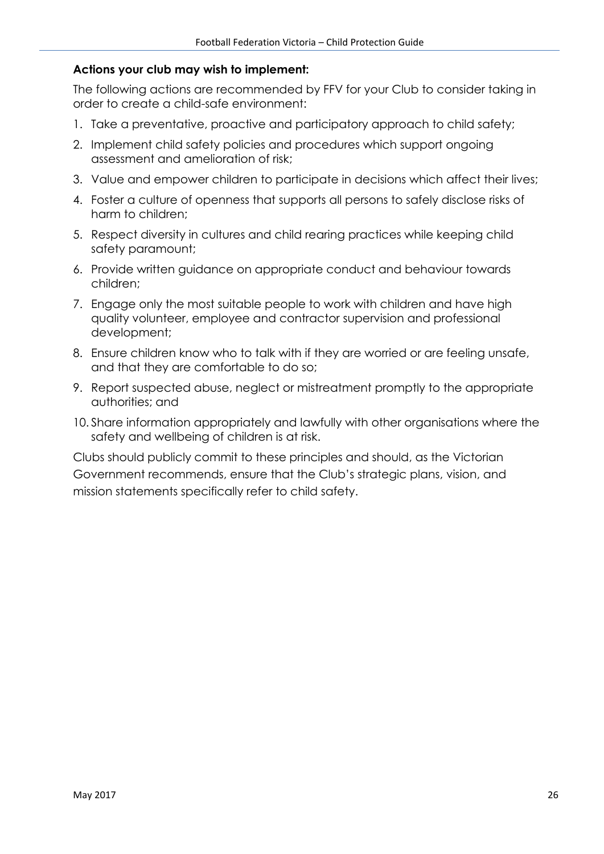#### **Actions your club may wish to implement:**

The following actions are recommended by FFV for your Club to consider taking in order to create a child-safe environment:

- 1. Take a preventative, proactive and participatory approach to child safety;
- 2. Implement child safety policies and procedures which support ongoing assessment and amelioration of risk;
- 3. Value and empower children to participate in decisions which affect their lives;
- 4. Foster a culture of openness that supports all persons to safely disclose risks of harm to children;
- 5. Respect diversity in cultures and child rearing practices while keeping child safety paramount;
- 6. Provide written guidance on appropriate conduct and behaviour towards children;
- 7. Engage only the most suitable people to work with children and have high quality volunteer, employee and contractor supervision and professional development;
- 8. Ensure children know who to talk with if they are worried or are feeling unsafe, and that they are comfortable to do so;
- 9. Report suspected abuse, neglect or mistreatment promptly to the appropriate authorities; and
- 10. Share information appropriately and lawfully with other organisations where the safety and wellbeing of children is at risk.

Clubs should publicly commit to these principles and should, as the Victorian Government recommends, ensure that the Club's strategic plans, vision, and mission statements specifically refer to child safety.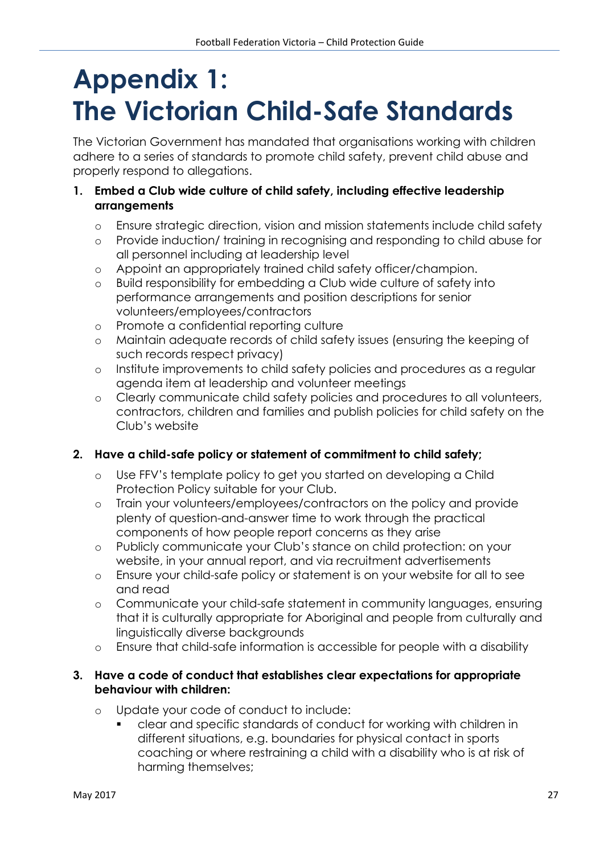# **Appendix 1: The Victorian Child-Safe Standards**

The Victorian Government has mandated that organisations working with children adhere to a series of standards to promote child safety, prevent child abuse and properly respond to allegations.

#### **1. Embed a Club wide culture of child safety, including effective leadership arrangements**

- o Ensure strategic direction, vision and mission statements include child safety
- o Provide induction/ training in recognising and responding to child abuse for all personnel including at leadership level
- o Appoint an appropriately trained child safety officer/champion.
- o Build responsibility for embedding a Club wide culture of safety into performance arrangements and position descriptions for senior volunteers/employees/contractors
- o Promote a confidential reporting culture
- o Maintain adequate records of child safety issues (ensuring the keeping of such records respect privacy)
- o Institute improvements to child safety policies and procedures as a regular agenda item at leadership and volunteer meetings
- o Clearly communicate child safety policies and procedures to all volunteers, contractors, children and families and publish policies for child safety on the Club's website

#### **2. Have a child-safe policy or statement of commitment to child safety;**

- o Use FFV's template policy to get you started on developing a Child Protection Policy suitable for your Club.
- o Train your volunteers/employees/contractors on the policy and provide plenty of question-and-answer time to work through the practical components of how people report concerns as they arise
- o Publicly communicate your Club's stance on child protection: on your website, in your annual report, and via recruitment advertisements
- o Ensure your child-safe policy or statement is on your website for all to see and read
- o Communicate your child-safe statement in community languages, ensuring that it is culturally appropriate for Aboriginal and people from culturally and linguistically diverse backgrounds
- o Ensure that child-safe information is accessible for people with a disability

#### **3. Have a code of conduct that establishes clear expectations for appropriate behaviour with children:**

- o Update your code of conduct to include:
	- clear and specific standards of conduct for working with children in different situations, e.g. boundaries for physical contact in sports coaching or where restraining a child with a disability who is at risk of harming themselves;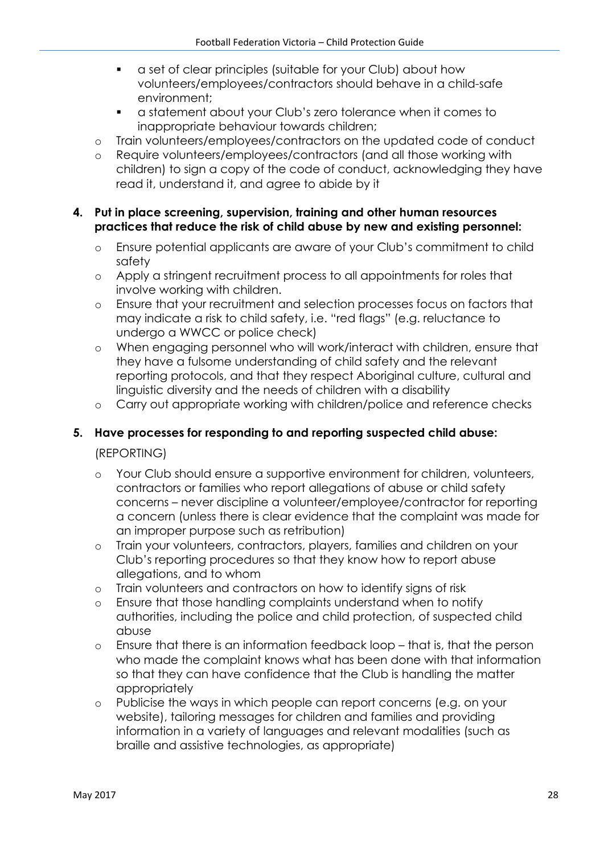- a set of clear principles (suitable for your Club) about how volunteers/employees/contractors should behave in a child-safe environment;
- a statement about your Club's zero tolerance when it comes to inappropriate behaviour towards children;
- o Train volunteers/employees/contractors on the updated code of conduct
- o Require volunteers/employees/contractors (and all those working with children) to sign a copy of the code of conduct, acknowledging they have read it, understand it, and agree to abide by it

#### **4. Put in place screening, supervision, training and other human resources practices that reduce the risk of child abuse by new and existing personnel:**

- o Ensure potential applicants are aware of your Club's commitment to child safety
- o Apply a stringent recruitment process to all appointments for roles that involve working with children.
- o Ensure that your recruitment and selection processes focus on factors that may indicate a risk to child safety, i.e. "red flags" (e.g. reluctance to undergo a WWCC or police check)
- o When engaging personnel who will work/interact with children, ensure that they have a fulsome understanding of child safety and the relevant reporting protocols, and that they respect Aboriginal culture, cultural and linguistic diversity and the needs of children with a disability
- o Carry out appropriate working with children/police and reference checks

#### **5. Have processes for responding to and reporting suspected child abuse:**

(REPORTING)

- o Your Club should ensure a supportive environment for children, volunteers, contractors or families who report allegations of abuse or child safety concerns – never discipline a volunteer/employee/contractor for reporting a concern (unless there is clear evidence that the complaint was made for an improper purpose such as retribution)
- o Train your volunteers, contractors, players, families and children on your Club's reporting procedures so that they know how to report abuse allegations, and to whom
- o Train volunteers and contractors on how to identify signs of risk
- o Ensure that those handling complaints understand when to notify authorities, including the police and child protection, of suspected child abuse
- o Ensure that there is an information feedback loop that is, that the person who made the complaint knows what has been done with that information so that they can have confidence that the Club is handling the matter appropriately
- o Publicise the ways in which people can report concerns (e.g. on your website), tailoring messages for children and families and providing information in a variety of languages and relevant modalities (such as braille and assistive technologies, as appropriate)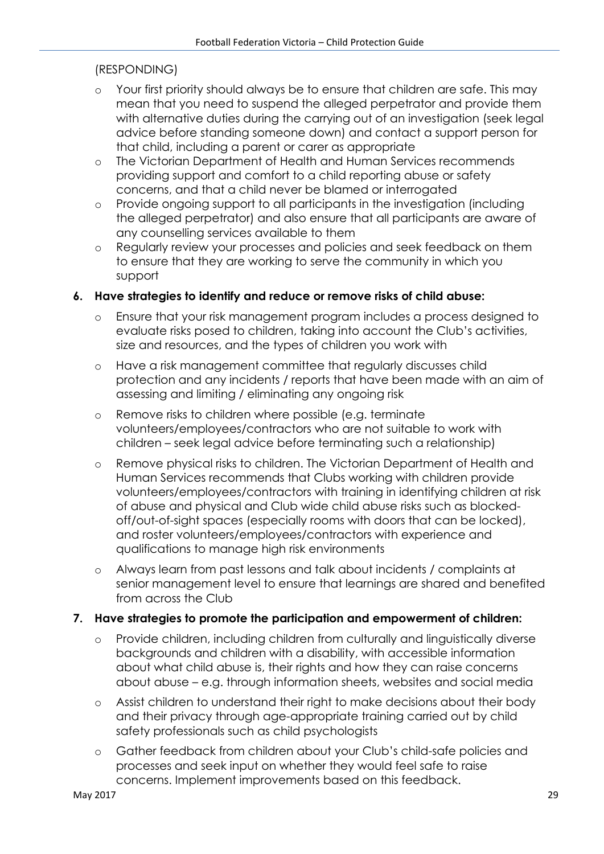#### (RESPONDING)

- o Your first priority should always be to ensure that children are safe. This may mean that you need to suspend the alleged perpetrator and provide them with alternative duties during the carrying out of an investigation (seek legal advice before standing someone down) and contact a support person for that child, including a parent or carer as appropriate
- o The Victorian Department of Health and Human Services recommends providing support and comfort to a child reporting abuse or safety concerns, and that a child never be blamed or interrogated
- o Provide ongoing support to all participants in the investigation (including the alleged perpetrator) and also ensure that all participants are aware of any counselling services available to them
- o Regularly review your processes and policies and seek feedback on them to ensure that they are working to serve the community in which you support

#### **6. Have strategies to identify and reduce or remove risks of child abuse:**

- o Ensure that your risk management program includes a process designed to evaluate risks posed to children, taking into account the Club's activities, size and resources, and the types of children you work with
- o Have a risk management committee that regularly discusses child protection and any incidents / reports that have been made with an aim of assessing and limiting / eliminating any ongoing risk
- o Remove risks to children where possible (e.g. terminate volunteers/employees/contractors who are not suitable to work with children – seek legal advice before terminating such a relationship)
- o Remove physical risks to children. The Victorian Department of Health and Human Services recommends that Clubs working with children provide volunteers/employees/contractors with training in identifying children at risk of abuse and physical and Club wide child abuse risks such as blockedoff/out-of-sight spaces (especially rooms with doors that can be locked), and roster volunteers/employees/contractors with experience and qualifications to manage high risk environments
- o Always learn from past lessons and talk about incidents / complaints at senior management level to ensure that learnings are shared and benefited from across the Club

#### **7. Have strategies to promote the participation and empowerment of children:**

- o Provide children, including children from culturally and linguistically diverse backgrounds and children with a disability, with accessible information about what child abuse is, their rights and how they can raise concerns about abuse – e.g. through information sheets, websites and social media
- o Assist children to understand their right to make decisions about their body and their privacy through age-appropriate training carried out by child safety professionals such as child psychologists
- o Gather feedback from children about your Club's child-safe policies and processes and seek input on whether they would feel safe to raise concerns. Implement improvements based on this feedback.